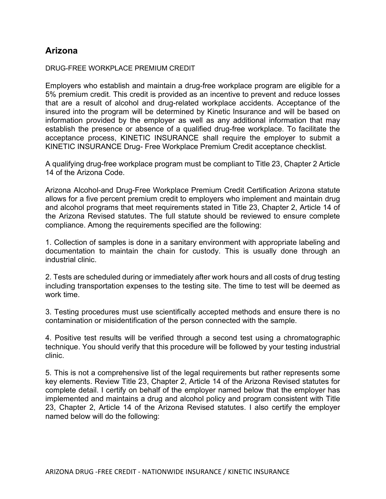## Arizona

## DRUG-FREE WORKPLACE PREMIUM CREDIT

Employers who establish and maintain a drug-free workplace program are eligible for a 5% premium credit. This credit is provided as an incentive to prevent and reduce losses that are a result of alcohol and drug-related workplace accidents. Acceptance of the insured into the program will be determined by Kinetic Insurance and will be based on information provided by the employer as well as any additional information that may establish the presence or absence of a qualified drug-free workplace. To facilitate the acceptance process, KINETIC INSURANCE shall require the employer to submit a KINETIC INSURANCE Drug- Free Workplace Premium Credit acceptance checklist.

A qualifying drug-free workplace program must be compliant to Title 23, Chapter 2 Article 14 of the Arizona Code.

Arizona Alcohol-and Drug-Free Workplace Premium Credit Certification Arizona statute allows for a five percent premium credit to employers who implement and maintain drug and alcohol programs that meet requirements stated in Title 23, Chapter 2, Article 14 of the Arizona Revised statutes. The full statute should be reviewed to ensure complete compliance. Among the requirements specified are the following:

1. Collection of samples is done in a sanitary environment with appropriate labeling and documentation to maintain the chain for custody. This is usually done through an industrial clinic.

2. Tests are scheduled during or immediately after work hours and all costs of drug testing including transportation expenses to the testing site. The time to test will be deemed as work time.

3. Testing procedures must use scientifically accepted methods and ensure there is no contamination or misidentification of the person connected with the sample.

4. Positive test results will be verified through a second test using a chromatographic technique. You should verify that this procedure will be followed by your testing industrial clinic.

5. This is not a comprehensive list of the legal requirements but rather represents some key elements. Review Title 23, Chapter 2, Article 14 of the Arizona Revised statutes for complete detail. I certify on behalf of the employer named below that the employer has implemented and maintains a drug and alcohol policy and program consistent with Title 23, Chapter 2, Article 14 of the Arizona Revised statutes. I also certify the employer named below will do the following: